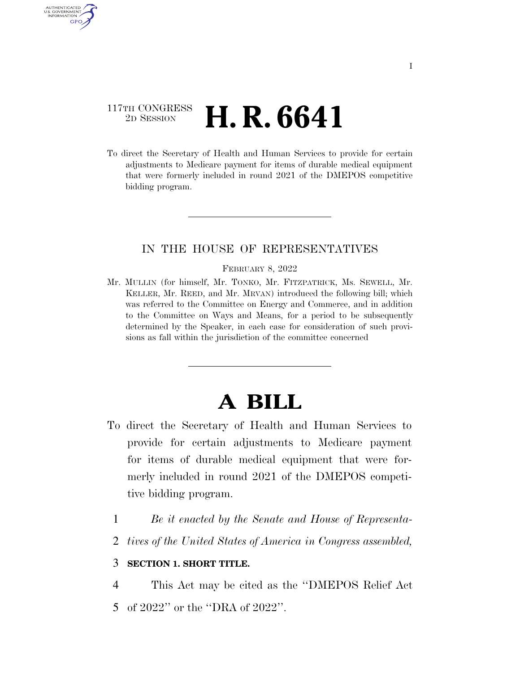### 117TH CONGRESS <sup>2D SESSION</sup> **H. R. 6641**

AUTHENTICATED U.S. GOVERNMENT GPO

> To direct the Secretary of Health and Human Services to provide for certain adjustments to Medicare payment for items of durable medical equipment that were formerly included in round 2021 of the DMEPOS competitive bidding program.

### IN THE HOUSE OF REPRESENTATIVES

#### FEBRUARY 8, 2022

Mr. MULLIN (for himself, Mr. TONKO, Mr. FITZPATRICK, Ms. SEWELL, Mr. KELLER, Mr. REED, and Mr. MRVAN) introduced the following bill; which was referred to the Committee on Energy and Commerce, and in addition to the Committee on Ways and Means, for a period to be subsequently determined by the Speaker, in each case for consideration of such provisions as fall within the jurisdiction of the committee concerned

# **A BILL**

- To direct the Secretary of Health and Human Services to provide for certain adjustments to Medicare payment for items of durable medical equipment that were formerly included in round 2021 of the DMEPOS competitive bidding program.
	- 1 *Be it enacted by the Senate and House of Representa-*
	- 2 *tives of the United States of America in Congress assembled,*

### 3 **SECTION 1. SHORT TITLE.**

4 This Act may be cited as the ''DMEPOS Relief Act

5 of 2022'' or the ''DRA of 2022''.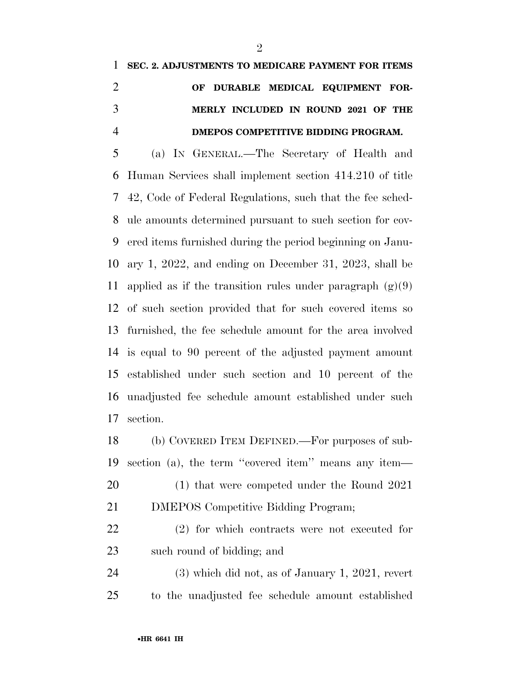## **SEC. 2. ADJUSTMENTS TO MEDICARE PAYMENT FOR ITEMS OF DURABLE MEDICAL EQUIPMENT FOR- MERLY INCLUDED IN ROUND 2021 OF THE DMEPOS COMPETITIVE BIDDING PROGRAM.**

 (a) IN GENERAL.—The Secretary of Health and Human Services shall implement section 414.210 of title 42, Code of Federal Regulations, such that the fee sched- ule amounts determined pursuant to such section for cov- ered items furnished during the period beginning on Janu- ary 1, 2022, and ending on December 31, 2023, shall be 11 applied as if the transition rules under paragraph  $(g)(9)$  of such section provided that for such covered items so furnished, the fee schedule amount for the area involved is equal to 90 percent of the adjusted payment amount established under such section and 10 percent of the unadjusted fee schedule amount established under such section.

 (b) COVERED ITEM DEFINED.—For purposes of sub- section (a), the term ''covered item'' means any item— (1) that were competed under the Round 2021 DMEPOS Competitive Bidding Program;

 (2) for which contracts were not executed for such round of bidding; and

 (3) which did not, as of January 1, 2021, revert to the unadjusted fee schedule amount established